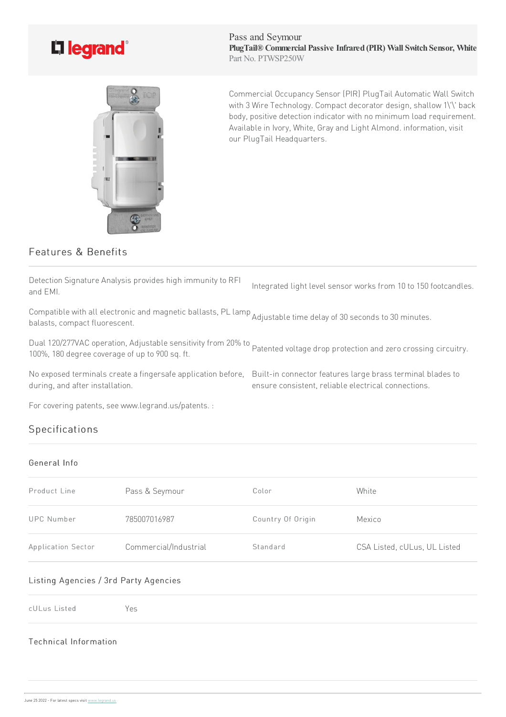

Pass and Seymour **PlugTail® Commercial Passive Infrared (PIR) Wall Switch Sensor, White** Part No. PTWSP250W



Commercial Occupancy Sensor (PIR) PlugTail Automatic Wall Switch with 3 Wire Technology. Compact decorator design, shallow 1\'\' back body, positive detection indicator with no minimum load requirement. Available in Ivory, White, Gray and Light Almond. information, visit our PlugTail Headquarters.

ensure consistent, reliable electrical connections.

# Features & Benefits

Detection Signature Analysis provides high immunity to RFI and EMI. Integrated light level sensor works from 10 to 150 footcandles.

Compatible with all electronic and magnetic ballasts, PL lamp<br>helasts, compast fluerescent balasts,compact fluorescent.

Dual 120/277VAC operation, Adjustable sensitivity from 20% to Dual 120/277VAC operation, Adjustable sensitivity from 20% to<br>100%, 180 degree coverage of up to 900 sq. ft.

No exposed terminals create a fingersafe application before, Built-in connector features large brass terminal blades to during, and after installation.

For covering patents, see www.legrand.us/patents. :

# Specifications

## General Info

| Product Line       | Pass & Seymour        | Color             | White                        |
|--------------------|-----------------------|-------------------|------------------------------|
| UPC Number         | 785007016987          | Country Of Origin | Mexico                       |
| Application Sector | Commercial/Industrial | Standard          | CSA Listed, cULus, UL Listed |

## Listing Agencies / 3rd Party Agencies

cULus Listed Yes

## Technical Information

June 25 2022 - For latest specs visit www.legrand.us